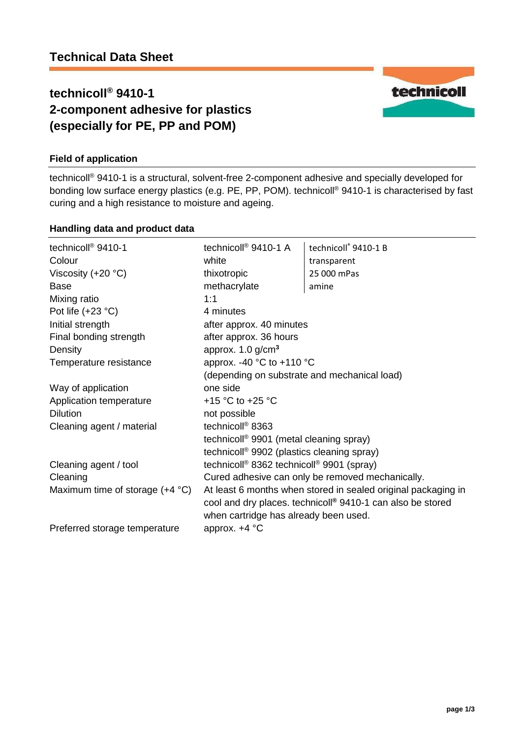# **technicoll® 9410-1 2-component adhesive for plastics (especially for PE, PP and POM)**

## **Field of application**

technicoll® 9410-1 is a structural, solvent-free 2-component adhesive and specially developed for bonding low surface energy plastics (e.g. PE, PP, POM). technicoll® 9410-1 is characterised by fast curing and a high resistance to moisture and ageing.

#### **Handling data and product data**

| technicoll <sup>®</sup> 9410-1           | technicoll <sup>®</sup> 9410-1 A                                                                                                              | technicoll® 9410-1 B |
|------------------------------------------|-----------------------------------------------------------------------------------------------------------------------------------------------|----------------------|
| Colour                                   | white                                                                                                                                         | transparent          |
| Viscosity $(+20 °C)$                     | thixotropic                                                                                                                                   | 25 000 mPas          |
| Base                                     | methacrylate                                                                                                                                  | amine                |
| Mixing ratio                             | 1:1                                                                                                                                           |                      |
| Pot life $(+23 °C)$                      | 4 minutes                                                                                                                                     |                      |
| Initial strength                         | after approx. 40 minutes                                                                                                                      |                      |
| Final bonding strength                   | after approx. 36 hours                                                                                                                        |                      |
| Density                                  | approx. $1.0$ g/cm <sup>3</sup>                                                                                                               |                      |
| Temperature resistance                   | approx. -40 $^{\circ}$ C to +110 $^{\circ}$ C<br>(depending on substrate and mechanical load)                                                 |                      |
|                                          |                                                                                                                                               |                      |
| Way of application                       | one side                                                                                                                                      |                      |
| Application temperature                  | +15 °C to +25 °C                                                                                                                              |                      |
| <b>Dilution</b>                          | not possible                                                                                                                                  |                      |
| Cleaning agent / material                | technicoll <sup>®</sup> 8363<br>technicoll <sup>®</sup> 9901 (metal cleaning spray)<br>technicoll <sup>®</sup> 9902 (plastics cleaning spray) |                      |
|                                          |                                                                                                                                               |                      |
|                                          |                                                                                                                                               |                      |
| Cleaning agent / tool                    | technicoll <sup>®</sup> 8362 technicoll <sup>®</sup> 9901 (spray)                                                                             |                      |
| Cleaning                                 | Cured adhesive can only be removed mechanically.                                                                                              |                      |
| Maximum time of storage $(+4 \degree C)$ | At least 6 months when stored in sealed original packaging in<br>cool and dry places. technicoll <sup>®</sup> 9410-1 can also be stored       |                      |
|                                          |                                                                                                                                               |                      |
|                                          | when cartridge has already been used.                                                                                                         |                      |
| Preferred storage temperature            | approx. $+4$ °C                                                                                                                               |                      |

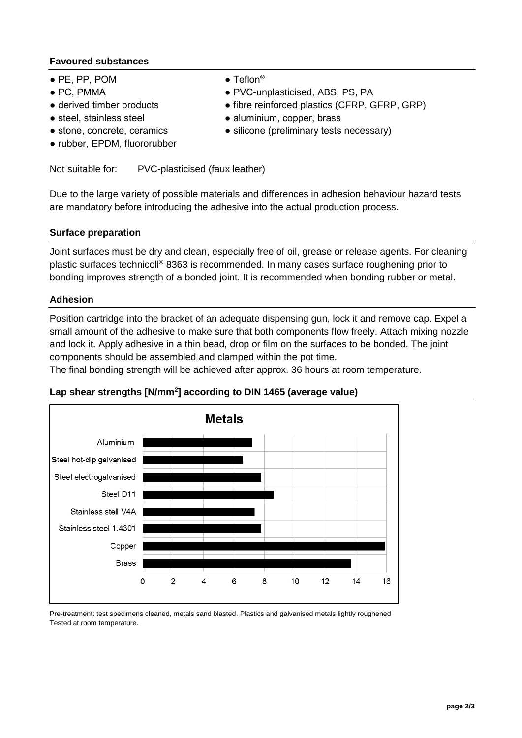### **Favoured substances**

- PE, PP, POM Teflon**®**
- 
- 
- 
- 
- rubber, EPDM, fluororubber
- 
- PC, PMMA PVC-unplasticised, ABS, PS, PA
- derived timber products fibre reinforced plastics (CFRP, GFRP, GRP)
- steel, stainless steel aluminium, copper, brass
- stone, concrete, ceramics silicone (preliminary tests necessary)

Not suitable for: PVC-plasticised (faux leather)

Due to the large variety of possible materials and differences in adhesion behaviour hazard tests are mandatory before introducing the adhesive into the actual production process.

### **Surface preparation**

Joint surfaces must be dry and clean, especially free of oil, grease or release agents. For cleaning plastic surfaces technicoll® 8363 is recommended. In many cases surface roughening prior to bonding improves strength of a bonded joint. It is recommended when bonding rubber or metal.

#### **Adhesion**

Position cartridge into the bracket of an adequate dispensing gun, lock it and remove cap. Expel a small amount of the adhesive to make sure that both components flow freely. Attach mixing nozzle and lock it. Apply adhesive in a thin bead, drop or film on the surfaces to be bonded. The joint components should be assembled and clamped within the pot time.

The final bonding strength will be achieved after approx. 36 hours at room temperature.

### **Lap shear strengths [N/mm<sup>2</sup> ] according to DIN 1465 (average value)**



Pre-treatment: test specimens cleaned, metals sand blasted. Plastics and galvanised metals lightly roughened Tested at room temperature.